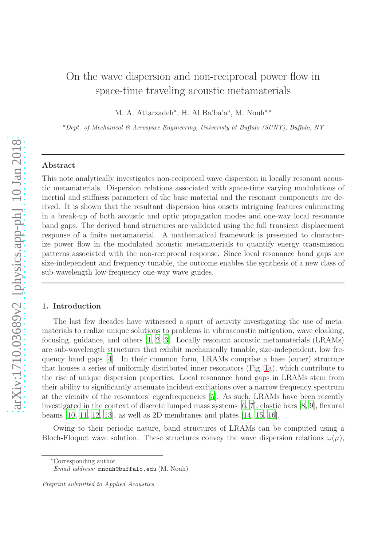# On the wave dispersion and non-reciprocal power flow in space-time traveling acoustic metamaterials

M. A. Attarzadeh<sup>a</sup>, H. Al Ba'ba'a<sup>a</sup>, M. Nouh<sup>a,\*</sup>

<sup>a</sup>Dept. of Mechanical & Aerospace Engineering, University at Buffalo (SUNY), Buffalo, NY

### Abstract

This note analytically investigates non-reciprocal wave dispersion in locally resonant acoustic metamaterials. Dispersion relations associated with space-time varying modulations of inertial and stiffness parameters of the base material and the resonant components are derived. It is shown that the resultant dispersion bias onsets intriguing features culminating in a break-up of both acoustic and optic propagation modes and one-way local resonance band gaps. The derived band structures are validated using the full transient displacement response of a finite metamaterial. A mathematical framework is presented to characterize power flow in the modulated acoustic metamaterials to quantify energy transmission patterns associated with the non-reciprocal response. Since local resonance band gaps are size-independent and frequency tunable, the outcome enables the synthesis of a new class of sub-wavelength low-frequency one-way wave guides.

# 1. Introduction

The last few decades have witnessed a spurt of activity investigating the use of metamaterials to realize unique solutions to problems in vibroacoustic mitigation, wave cloaking, focusing, guidance, and others [\[1](#page-9-0), [2](#page-9-1), [3](#page-9-2)]. Locally resonant acoustic metamaterials (LRAMs) are sub-wavelength structures that exhibit mechanically tunable, size-independent, low frequency band gaps [\[4](#page-9-3)]. In their common form, LRAMs comprise a base (outer) structure that houses a series of uniformly distributed inner resonators (Fig. [1a](#page-2-0)), which contribute to the rise of unique dispersion properties. Local resonance band gaps in LRAMs stem from their ability to significantly attenuate incident excitations over a narrow frequency spectrum at the vicinity of the resonators' eigenfrequencies [\[5\]](#page-9-4). As such, LRAMs have been recently investigated in the context of discrete lumped mass systems [\[6,](#page-9-5) [7](#page-9-6)], elastic bars [\[8](#page-9-7), [9\]](#page-9-8), flexural beams [\[10,](#page-9-9) [11,](#page-9-10) [12](#page-9-11), [13](#page-10-0)], as well as 2D membranes and plates [\[14,](#page-10-1) [15,](#page-10-2) [16\]](#page-10-3).

Owing to their periodic nature, band structures of LRAMs can be computed using a Bloch-Floquet wave solution. These structures convey the wave dispersion relations  $\omega(\mu)$ ,

<sup>∗</sup>Corresponding author

Email address: mnouh@buffalo.edu (M. Nouh)

Preprint submitted to Applied Acoustics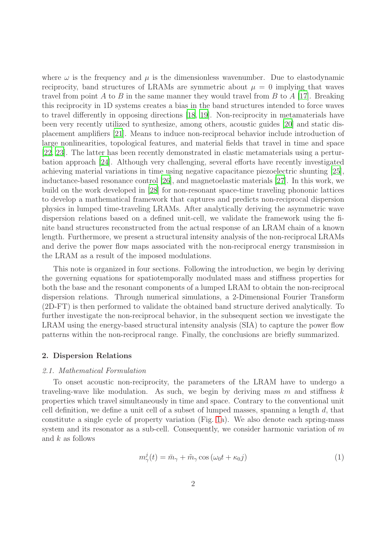where  $\omega$  is the frequency and  $\mu$  is the dimensionless wavenumber. Due to elastodynamic reciprocity, band structures of LRAMs are symmetric about  $\mu = 0$  implying that waves travel from point A to B in the same manner they would travel from B to A [\[17\]](#page-10-4). Breaking this reciprocity in 1D systems creates a bias in the band structures intended to force waves to travel differently in opposing directions [\[18](#page-10-5), [19](#page-10-6)]. Non-reciprocity in metamaterials have been very recently utilized to synthesize, among others, acoustic guides [\[20](#page-10-7)] and static displacement amplifiers [\[21\]](#page-10-8). Means to induce non-reciprocal behavior include introduction of large nonlinearities, topological features, and material fields that travel in time and space [\[22,](#page-10-9) [23](#page-10-10)]. The latter has been recently demonstrated in elastic metamaterials using a perturbation approach [\[24](#page-10-11)]. Although very challenging, several efforts have recently investigated achieving material variations in time using negative capacitance piezoelectric shunting [\[25](#page-10-12)], inductance-based resonance control [\[26](#page-10-13)], and magnetoelastic materials [\[27](#page-10-14)]. In this work, we build on the work developed in [\[28\]](#page-10-15) for non-resonant space-time traveling phononic lattices to develop a mathematical framework that captures and predicts non-reciprocal dispersion physics in lumped time-traveling LRAMs. After analytically deriving the asymmetric wave dispersion relations based on a defined unit-cell, we validate the framework using the finite band structures reconstructed from the actual response of an LRAM chain of a known length. Furthermore, we present a structural intensity analysis of the non-reciprocal LRAMs and derive the power flow maps associated with the non-reciprocal energy transmission in the LRAM as a result of the imposed modulations.

This note is organized in four sections. Following the introduction, we begin by deriving the governing equations for spatiotemporally modulated mass and stiffness properties for both the base and the resonant components of a lumped LRAM to obtain the non-reciprocal dispersion relations. Through numerical simulations, a 2-Dimensional Fourier Transform (2D-FT) is then performed to validate the obtained band structure derived analytically. To further investigate the non-reciprocal behavior, in the subsequent section we investigate the LRAM using the energy-based structural intensity analysis (SIA) to capture the power flow patterns within the non-reciprocal range. Finally, the conclusions are briefly summarized.

# 2. Dispersion Relations

#### 2.1. Mathematical Formulation

To onset acoustic non-reciprocity, the parameters of the LRAM have to undergo a traveling-wave like modulation. As such, we begin by deriving mass m and stiffness k properties which travel simultaneously in time and space. Contrary to the conventional unit cell definition, we define a unit cell of a subset of lumped masses, spanning a length  $d$ , that constitute a single cycle of property variation (Fig. [1a](#page-2-0)). We also denote each spring-mass system and its resonator as a sub-cell. Consequently, we consider harmonic variation of m and  $k$  as follows

$$
m_{\gamma}^{j}(t) = \bar{m}_{\gamma} + \tilde{m}_{\gamma} \cos \left(\omega_{0} t + \kappa_{0} j\right) \tag{1}
$$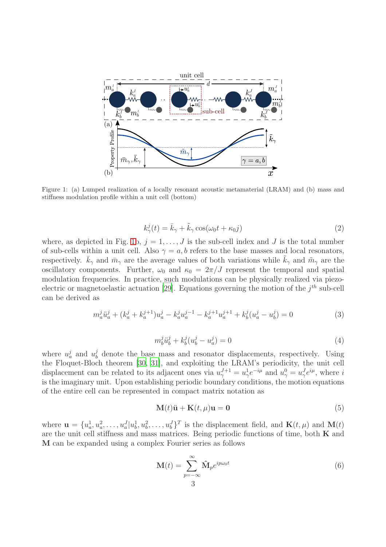

<span id="page-2-0"></span>Figure 1: (a) Lumped realization of a locally resonant acoustic metamaterial (LRAM) and (b) mass and stiffness modulation profile within a unit cell (bottom)

$$
k_{\gamma}^{j}(t) = \bar{k}_{\gamma} + \tilde{k}_{\gamma} \cos(\omega_{0} t + \kappa_{0} j)
$$
\n(2)

where, as depicted in Fig. [1b](#page-2-0),  $j = 1, \ldots, J$  is the sub-cell index and J is the total number of sub-cells within a unit cell. Also  $\gamma = a, b$  refers to the base masses and local resonators, respectively.  $\bar{k}_{\gamma}$  and  $\bar{m}_{\gamma}$  are the average values of both variations while  $\bar{k}_{\gamma}$  and  $\tilde{m}_{\gamma}$  are the oscillatory components. Further,  $\omega_0$  and  $\kappa_0 = 2\pi/J$  represent the temporal and spatial modulation frequencies. In practice, such modulations can be physically realized via piezo-electric or magnetoelastic actuation [\[29](#page-10-16)]. Equations governing the motion of the  $j<sup>th</sup>$  sub-cell can be derived as

$$
m_a^j \ddot{u}_a^j + (k_a^j + k_a^{j+1})u_a^j - k_a^j u_a^{j-1} - k_a^{j+1} u_a^{j+1} + k_b^j (u_a^j - u_b^j) = 0 \tag{3}
$$

$$
m_b^j \ddot{u}_b^j + k_b^j (u_b^j - u_a^j) = 0
$$
\n(4)

where  $u_a^j$  and  $u_b^j$  $b<sub>b</sub>$  denote the base mass and resonator displacements, respectively. Using the Floquet-Bloch theorem [\[30,](#page-10-17) [31\]](#page-10-18), and exploiting the LRAM's periodicity, the unit cell displacement can be related to its adjacent ones via  $u_{\gamma}^{J+1} = u_{\gamma}^1 e^{-i\mu}$  and  $u_{\gamma}^0 = u_{\gamma}^J e^{i\mu}$ , where i is the imaginary unit. Upon establishing periodic boundary conditions, the motion equations of the entire cell can be represented in compact matrix notation as

<span id="page-2-2"></span>
$$
\mathbf{M}(t)\ddot{\mathbf{u}} + \mathbf{K}(t,\mu)\mathbf{u} = \mathbf{0}
$$
\n(5)

where  $\mathbf{u} = \{u_a^1, u_a^2, \dots, u_a^J | u_b^1, u_b^2, \dots, u_b^J\}^T$  is the displacement field, and  $\mathbf{K}(t, \mu)$  and  $\mathbf{M}(t)$ are the unit cell stiffness and mass matrices. Being periodic functions of time, both K and M can be expanded using a complex Fourier series as follows

<span id="page-2-1"></span>
$$
\mathbf{M}(t) = \sum_{p=-\infty}^{\infty} \hat{\mathbf{M}}_p e^{ip\omega_0 t}
$$
\n(6)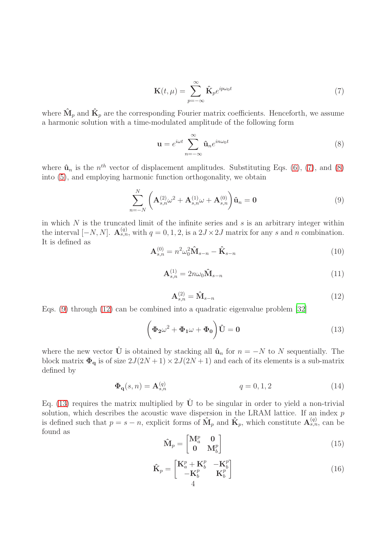$$
\mathbf{K}(t,\mu) = \sum_{p=-\infty}^{\infty} \hat{\mathbf{K}}_p e^{ip\omega_0 t}
$$
 (7)

<span id="page-3-0"></span>where  $\hat{\mathbf{M}}_p$  and  $\hat{\mathbf{K}}_p$  are the corresponding Fourier matrix coefficients. Henceforth, we assume a harmonic solution with a time-modulated amplitude of the following form

<span id="page-3-2"></span><span id="page-3-1"></span>
$$
\mathbf{u} = e^{i\omega t} \sum_{n=-\infty}^{\infty} \hat{\mathbf{u}}_n e^{in\omega_0 t}
$$
 (8)

where  $\hat{\mathbf{u}}_n$  is the  $n^{th}$  vector of displacement amplitudes. Substituting Eqs. [\(6\)](#page-2-1), [\(7\)](#page-3-0), and [\(8\)](#page-3-1) into [\(5\)](#page-2-2), and employing harmonic function orthogonality, we obtain

$$
\sum_{n=-N}^{N} \left( \mathbf{A}_{s,n}^{(2)} \omega^2 + \mathbf{A}_{s,n}^{(1)} \omega + \mathbf{A}_{s,n}^{(0)} \right) \hat{\mathbf{u}}_n = \mathbf{0}
$$
\n(9)

in which  $N$  is the truncated limit of the infinite series and  $s$  is an arbitrary integer within the interval  $[-N, N]$ .  $\mathbf{A}_{s,n}^{(q)}$ , with  $q = 0, 1, 2$ , is a  $2J \times 2J$  matrix for any s and n combination. It is defined as

$$
\mathbf{A}_{s,n}^{(0)} = n^2 \omega_0^2 \mathbf{\hat{M}}_{s-n} - \mathbf{\hat{K}}_{s-n}
$$
\n(10)

$$
\mathbf{A}_{s,n}^{(1)} = 2n\omega_0 \mathbf{\hat{M}}_{s-n} \tag{11}
$$

<span id="page-3-4"></span>
$$
\mathbf{A}_{s,n}^{(2)} = \mathbf{\hat{M}}_{s-n} \tag{12}
$$

<span id="page-3-3"></span>Eqs. [\(9\)](#page-3-2) through [\(12\)](#page-3-3) can be combined into a quadratic eigenvalue problem [\[32](#page-10-19)]

$$
\left(\Phi_2\omega^2 + \Phi_1\omega + \Phi_0\right)\hat{\mathbf{U}} = 0\tag{13}
$$

where the new vector  $\hat{\mathbf{U}}$  is obtained by stacking all  $\hat{\mathbf{u}}_n$  for  $n = -N$  to N sequentially. The block matrix  $\Phi_{\mathbf{q}}$  is of size  $2J(2N+1) \times 2J(2N+1)$  and each of its elements is a sub-matrix defined by

$$
\Phi_{\mathbf{q}}(s,n) = \mathbf{A}_{s,n}^{(q)} \tag{14}
$$

Eq. [\(13\)](#page-3-4) requires the matrix multiplied by  $\hat{U}$  to be singular in order to yield a non-trivial solution, which describes the acoustic wave dispersion in the LRAM lattice. If an index p is defined such that  $p = s - n$ , explicit forms of  $\mathbf{\hat{M}}_p$  and  $\mathbf{\hat{K}}_p$ , which constitute  $\mathbf{A}_{s,n}^{(q)}$ , can be found as

$$
\hat{\mathbf{M}}_p = \begin{bmatrix} \mathbf{M}_a^p & \mathbf{0} \\ \mathbf{0} & \mathbf{M}_b^p \end{bmatrix} \tag{15}
$$

$$
\hat{\mathbf{K}}_p = \begin{bmatrix} \mathbf{K}_a^p + \mathbf{K}_b^p & -\mathbf{K}_b^p \\ -\mathbf{K}_b^p & \mathbf{K}_b^p \end{bmatrix} \tag{16}
$$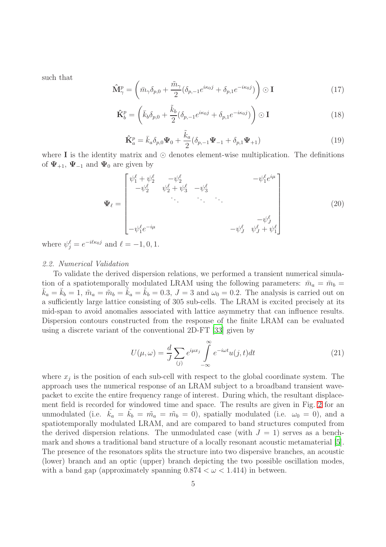such that

$$
\hat{\mathbf{M}}_{\gamma}^{p} = \left( \bar{m}_{\gamma} \delta_{p,0} + \frac{\tilde{m}_{\gamma}}{2} (\delta_{p,-1} e^{i\kappa_0 j} + \delta_{p,1} e^{-i\kappa_0 j}) \right) \odot \mathbf{I}
$$
\n(17)

$$
\hat{\mathbf{K}}_b^p = \left(\bar{k}_b \delta_{p,0} + \frac{\tilde{k}_b}{2} (\delta_{p,-1} e^{i\kappa_0 j} + \delta_{p,1} e^{-i\kappa_0 j})\right) \odot \mathbf{I}
$$
\n(18)

$$
\hat{\mathbf{K}}_a^p = \bar{k}_a \delta_{p,0} \Psi_0 + \frac{\tilde{k}_a}{2} (\delta_{p,-1} \Psi_{-1} + \delta_{p,1} \Psi_{+1})
$$
\n(19)

where I is the identity matrix and  $\odot$  denotes element-wise multiplication. The definitions of  $\Psi_{+1}$ ,  $\Psi_{-1}$  and  $\Psi_0$  are given by

$$
\Psi_{\ell} = \begin{bmatrix} \psi_1^{\ell} + \psi_2^{\ell} & -\psi_2^{\ell} & -\psi_3^{\ell} \\ -\psi_2^{\ell} & \psi_2^{\ell} + \psi_3^{\ell} & -\psi_3^{\ell} \\ \vdots & \vdots & \ddots & \vdots \\ -\psi_1^{\ell} e^{-i\mu} & -\psi_J^{\ell} & \psi_J^{\ell} + \psi_1^{\ell} \end{bmatrix}
$$
(20)

where  $\psi_j^{\ell} = e^{-i\ell\kappa_0 j}$  and  $\ell = -1, 0, 1$ .

# 2.2. Numerical Validation

To validate the derived dispersion relations, we performed a transient numerical simulation of a spatiotemporally modulated LRAM using the following parameters:  $\bar{m}_a = \bar{m}_b =$  $\bar{k}_a = \bar{k}_b = 1$ ,  $\tilde{m}_a = \tilde{m}_b = k_a = k_b = 0.3$ ,  $J = 3$  and  $\omega_0 = 0.2$ . The analysis is carried out on a sufficiently large lattice consisting of 305 sub-cells. The LRAM is excited precisely at its mid-span to avoid anomalies associated with lattice asymmetry that can influence results. Dispersion contours constructed from the response of the finite LRAM can be evaluated using a discrete variant of the conventional 2D-FT [\[33](#page-10-20)] given by

$$
U(\mu,\omega) = \frac{d}{J} \sum_{(j)} e^{i\mu x_j} \int_{-\infty}^{\infty} e^{-i\omega t} u(j,t) dt
$$
 (21)

where  $x_j$  is the position of each sub-cell with respect to the global coordinate system. The approach uses the numerical response of an LRAM subject to a broadband transient wavepacket to excite the entire frequency range of interest. During which, the resultant displacement field is recorded for windowed time and space. The results are given in Fig. [2](#page-5-0) for an unmodulated (i.e.  $\tilde{k}_a = \tilde{k}_b = \tilde{m}_a = \tilde{m}_b = 0$ ), spatially modulated (i.e.  $\omega_0 = 0$ ), and a spatiotemporally modulated LRAM, and are compared to band structures computed from the derived dispersion relations. The unmodulated case (with  $J = 1$ ) serves as a benchmark and shows a traditional band structure of a locally resonant acoustic metamaterial [\[5](#page-9-4)]. The presence of the resonators splits the structure into two dispersive branches, an acoustic (lower) branch and an optic (upper) branch depicting the two possible oscillation modes, with a band gap (approximately spanning  $0.874 < \omega < 1.414$ ) in between.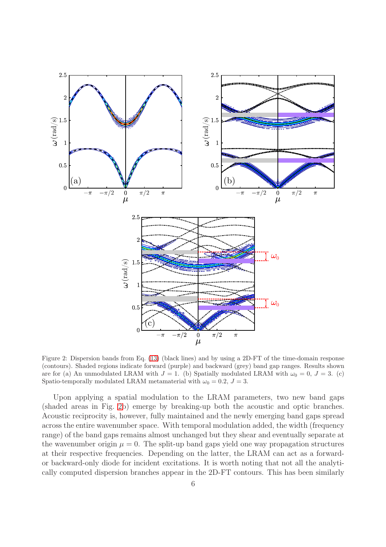

<span id="page-5-0"></span>Figure 2: Dispersion bands from Eq. [\(13\)](#page-3-4) (black lines) and by using a 2D-FT of the time-domain response (contours). Shaded regions indicate forward (purple) and backward (grey) band gap ranges. Results shown are for (a) An unmodulated LRAM with  $J = 1$ . (b) Spatially modulated LRAM with  $\omega_0 = 0, J = 3$ . (c) Spatio-temporally modulated LRAM metamaterial with  $\omega_0 = 0.2$ ,  $J = 3$ .

Upon applying a spatial modulation to the LRAM parameters, two new band gaps (shaded areas in Fig. [2b](#page-5-0)) emerge by breaking-up both the acoustic and optic branches. Acoustic reciprocity is, however, fully maintained and the newly emerging band gaps spread across the entire wavenumber space. With temporal modulation added, the width (frequency range) of the band gaps remains almost unchanged but they shear and eventually separate at the wavenumber origin  $\mu = 0$ . The split-up band gaps yield one way propagation structures at their respective frequencies. Depending on the latter, the LRAM can act as a forwardor backward-only diode for incident excitations. It is worth noting that not all the analytically computed dispersion branches appear in the 2D-FT contours. This has been similarly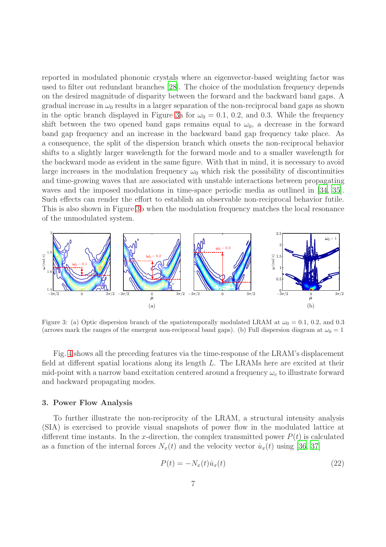reported in modulated phononic crystals where an eigenvector-based weighting factor was used to filter out redundant branches [\[28](#page-10-15)]. The choice of the modulation frequency depends on the desired magnitude of disparity between the forward and the backward band gaps. A gradual increase in  $\omega_0$  results in a larger separation of the non-reciprocal band gaps as shown in the optic branch displayed in Figure [3a](#page-6-0) for  $\omega_0 = 0.1, 0.2,$  and 0.3. While the frequency shift between the two opened band gaps remains equal to  $\omega_0$ , a decrease in the forward band gap frequency and an increase in the backward band gap frequency take place. As a consequence, the split of the dispersion branch which onsets the non-reciprocal behavior shifts to a slightly larger wavelength for the forward mode and to a smaller wavelength for the backward mode as evident in the same figure. With that in mind, it is necessary to avoid large increases in the modulation frequency  $\omega_0$  which risk the possibility of discontinuities and time-growing waves that are associated with unstable interactions between propagating waves and the imposed modulations in time-space periodic media as outlined in [\[34](#page-10-21), [35](#page-10-22)]. Such effects can render the effort to establish an observable non-reciprocal behavior futile. This is also shown in Figure [3b](#page-6-0) when the modulation frequency matches the local resonance of the unmodulated system.



<span id="page-6-0"></span>Figure 3: (a) Optic dispersion branch of the spatiotemporally modulated LRAM at  $\omega_0 = 0.1$ , 0.2, and 0.3 (arrows mark the ranges of the emergent non-reciprocal band gaps). (b) Full dispersion diagram at  $\omega_0 = 1$ 

Fig. [4](#page-7-0) shows all the preceding features via the time-response of the LRAM's displacement field at different spatial locations along its length L. The LRAMs here are excited at their mid-point with a narrow band excitation centered around a frequency  $\omega_c$  to illustrate forward and backward propagating modes.

## 3. Power Flow Analysis

To further illustrate the non-reciprocity of the LRAM, a structural intensity analysis (SIA) is exercised to provide visual snapshots of power flow in the modulated lattice at different time instants. In the x-direction, the complex transmitted power  $P(t)$  is calculated as a function of the internal forces  $N_x(t)$  and the velocity vector  $\dot{u}_x(t)$  using [\[36](#page-10-23), [37\]](#page-11-0)

$$
P(t) = -N_x(t)\dot{u}_x(t) \tag{22}
$$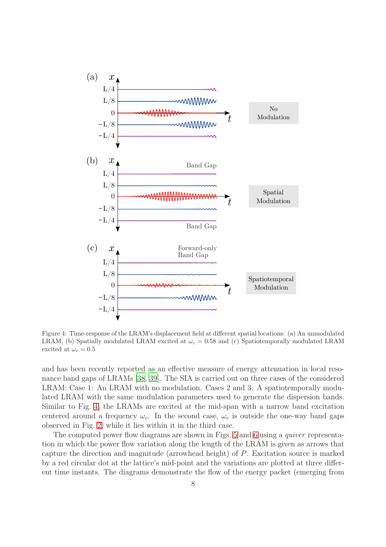

<span id="page-7-0"></span>Figure 4: Time-response of the LRAM's displacement field at different spatial locations: (a) An unmodulated LRAM, (b) Spatially modulated LRAM excited at  $\omega_c = 0.58$  and (c) Spatiotemporally modulated LRAM excited at  $\omega_c = 0.5$ 

and has been recently reported as an effective measure of energy attenuation in local resonance band gaps of LRAMs [\[38,](#page-11-1) [39](#page-11-2)]. The SIA is carried out on three cases of the considered LRAM: Case 1: An LRAM with no modulation. Cases 2 and 3: A spatiotemporally modulated LRAM with the same modulation parameters used to generate the dispersion bands. Similar to Fig. [4,](#page-7-0) the LRAMs are excited at the mid-span with a narrow band excitation centered around a frequency  $\omega_c$ . In the second case,  $\omega_c$  is outside the one-way band gaps observed in Fig. [2,](#page-5-0) while it lies within it in the third case.

The computed power flow diagrams are shown in Figs. [5](#page-8-0) and [6](#page-8-1) using a *quiver* representation in which the power flow variation along the length of the LRAM is given as arrows that capture the direction and magnitude (arrowhead height) of P. Excitation source is marked by a red circular dot at the lattice's mid-point and the variations are plotted at three different time instants. The diagrams demonstrate the flow of the energy packet (emerging from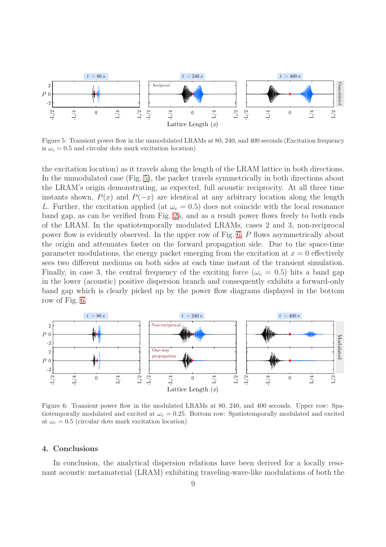

<span id="page-8-0"></span>Figure 5: Transient power flow in the unmodulated LRAMs at 80, 240, and 400 seconds (Excitation frequency is  $\omega_c = 0.5$  and circular dots mark excitation location)

the excitation location) as it travels along the length of the LRAM lattice in both directions. In the unmodulated case (Fig. [5\)](#page-8-0), the packet travels symmetrically in both directions about the LRAM's origin demonstrating, as expected, full acoustic reciprocity. At all three time instants shown,  $P(x)$  and  $P(-x)$  are identical at any arbitrary location along the length L. Further, the excitation applied (at  $\omega_c = 0.5$ ) does not coincide with the local resonance band gap, as can be verified from Fig. [2a](#page-5-0), and as a result power flows freely to both ends of the LRAM. In the spatiotemporally modulated LRAMs, cases 2 and 3, non-reciprocal power flow is evidently observed. In the upper row of Fig. [6,](#page-8-1) P flows asymmetrically about the origin and attenuates faster on the forward propagation side. Due to the space-time parameter modulations, the energy packet emerging from the excitation at  $x = 0$  effectively sees two different mediums on both sides at each time instant of the transient simulation. Finally, in case 3, the central frequency of the exciting force ( $\omega_c = 0.5$ ) hits a band gap in the lower (acoustic) positive dispersion branch and consequently exhibits a forward-only band gap which is clearly picked up by the power flow diagrams displayed in the bottom row of Fig. [6.](#page-8-1)



<span id="page-8-1"></span>Figure 6: Transient power flow in the modulated LRAMs at 80, 240, and 400 seconds. Upper row: Spatiotemporally modulated and excited at  $\omega_c = 0.25$ . Bottom row: Spatiotemporally modulated and excited at  $\omega_c = 0.5$  (circular dots mark excitation location)

## 4. Conclusions

In conclusion, the analytical dispersion relations have been derived for a locally resonant acoustic metamaterial (LRAM) exhibiting traveling-wave-like modulations of both the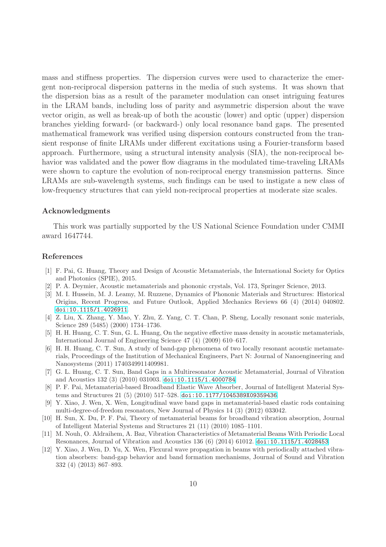mass and stiffness properties. The dispersion curves were used to characterize the emergent non-reciprocal dispersion patterns in the media of such systems. It was shown that the dispersion bias as a result of the parameter modulation can onset intriguing features in the LRAM bands, including loss of parity and asymmetric dispersion about the wave vector origin, as well as break-up of both the acoustic (lower) and optic (upper) dispersion branches yielding forward- (or backward-) only local resonance band gaps. The presented mathematical framework was verified using dispersion contours constructed from the transient response of finite LRAMs under different excitations using a Fourier-transform based approach. Furthermore, using a structural intensity analysis (SIA), the non-reciprocal behavior was validated and the power flow diagrams in the modulated time-traveling LRAMs were shown to capture the evolution of non-reciprocal energy transmission patterns. Since LRAMs are sub-wavelength systems, such findings can be used to instigate a new class of low-frequency structures that can yield non-reciprocal properties at moderate size scales.

### Acknowledgments

This work was partially supported by the US National Science Foundation under CMMI award 1647744.

## References

- <span id="page-9-0"></span>[1] F. Pai, G. Huang, Theory and Design of Acoustic Metamaterials, the International Society for Optics and Photonics (SPIE), 2015.
- <span id="page-9-1"></span>[2] P. A. Deymier, Acoustic metamaterials and phononic crystals, Vol. 173, Springer Science, 2013.
- <span id="page-9-2"></span>[3] M. I. Hussein, M. J. Leamy, M. Ruzzene, Dynamics of Phononic Materials and Structures: Historical Origins, Recent Progress, and Future Outlook, Applied Mechanics Reviews 66 (4) (2014) 040802. [doi:10.1115/1.4026911](http://dx.doi.org/10.1115/1.4026911).
- <span id="page-9-3"></span>[4] Z. Liu, X. Zhang, Y. Mao, Y. Zhu, Z. Yang, C. T. Chan, P. Sheng, Locally resonant sonic materials, Science 289 (5485) (2000) 1734–1736.
- <span id="page-9-4"></span>[5] H. H. Huang, C. T. Sun, G. L. Huang, On the negative effective mass density in acoustic metamaterials, International Journal of Engineering Science 47 (4) (2009) 610–617.
- <span id="page-9-5"></span>[6] H. H. Huang, C. T. Sun, A study of band-gap phenomena of two locally resonant acoustic metamaterials, Proceedings of the Institution of Mechanical Engineers, Part N: Journal of Nanoengineering and Nanosystems (2011) 1740349911409981.
- <span id="page-9-6"></span>[7] G. L. Huang, C. T. Sun, Band Gaps in a Multiresonator Acoustic Metamaterial, Journal of Vibration and Acoustics 132 (3) (2010) 031003. [doi:10.1115/1.4000784](http://dx.doi.org/10.1115/1.4000784).
- <span id="page-9-7"></span>[8] P. F. Pai, Metamaterial-based Broadband Elastic Wave Absorber, Journal of Intelligent Material Systems and Structures 21 (5) (2010) 517–528. [doi:10.1177/1045389X09359436](http://dx.doi.org/10.1177/1045389X09359436).
- <span id="page-9-8"></span>[9] Y. Xiao, J. Wen, X. Wen, Longitudinal wave band gaps in metamaterial-based elastic rods containing multi-degree-of-freedom resonators, New Journal of Physics 14 (3) (2012) 033042.
- <span id="page-9-9"></span>[10] H. Sun, X. Du, P. F. Pai, Theory of metamaterial beams for broadband vibration absorption, Journal of Intelligent Material Systems and Structures 21 (11) (2010) 1085–1101.
- <span id="page-9-10"></span>[11] M. Nouh, O. Aldraihem, A. Baz, Vibration Characteristics of Metamaterial Beams With Periodic Local Resonances, Journal of Vibration and Acoustics 136 (6) (2014) 61012. [doi:10.1115/1.4028453](http://dx.doi.org/10.1115/1.4028453).
- <span id="page-9-11"></span>[12] Y. Xiao, J. Wen, D. Yu, X. Wen, Flexural wave propagation in beams with periodically attached vibration absorbers: band-gap behavior and band formation mechanisms, Journal of Sound and Vibration 332 (4) (2013) 867–893.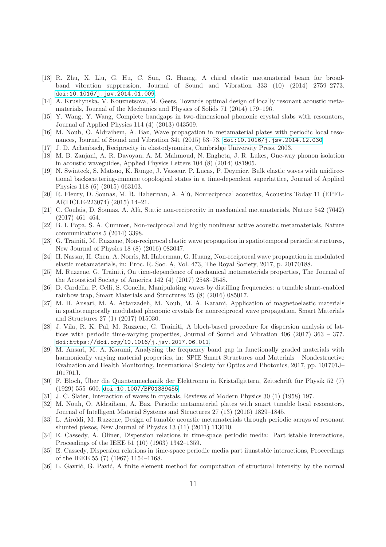- <span id="page-10-0"></span>[13] R. Zhu, X. Liu, G. Hu, C. Sun, G. Huang, A chiral elastic metamaterial beam for broadband vibration suppression, Journal of Sound and Vibration 333 (10) (2014) 2759–2773. [doi:10.1016/j.jsv.2014.01.009](http://dx.doi.org/10.1016/j.jsv.2014.01.009).
- <span id="page-10-1"></span>[14] A. Krushynska, V. Kouznetsova, M. Geers, Towards optimal design of locally resonant acoustic metamaterials, Journal of the Mechanics and Physics of Solids 71 (2014) 179–196.
- <span id="page-10-2"></span>[15] Y. Wang, Y. Wang, Complete bandgaps in two-dimensional phononic crystal slabs with resonators, Journal of Applied Physics 114 (4) (2013) 043509.
- <span id="page-10-3"></span>[16] M. Nouh, O. Aldraihem, A. Baz, Wave propagation in metamaterial plates with periodic local resonances, Journal of Sound and Vibration 341 (2015) 53–73. [doi:10.1016/j.jsv.2014.12.030](http://dx.doi.org/10.1016/j.jsv.2014.12.030).
- <span id="page-10-4"></span>[17] J. D. Achenbach, Reciprocity in elastodynamics, Cambridge University Press, 2003.
- <span id="page-10-5"></span>[18] M. B. Zanjani, A. R. Davoyan, A. M. Mahmoud, N. Engheta, J. R. Lukes, One-way phonon isolation in acoustic waveguides, Applied Physics Letters 104 (8) (2014) 081905.
- <span id="page-10-6"></span>[19] N. Swinteck, S. Matsuo, K. Runge, J. Vasseur, P. Lucas, P. Deymier, Bulk elastic waves with unidirectional backscattering-immune topological states in a time-dependent superlattice, Journal of Applied Physics 118 (6) (2015) 063103.
- <span id="page-10-7"></span>[20] R. Fleury, D. Sounas, M. R. Haberman, A. Alù, Nonreciprocal acoustics, Acoustics Today 11 (EPFL-ARTICLE-223074) (2015) 14–21.
- <span id="page-10-8"></span>[21] C. Coulais, D. Sounas, A. Alù, Static non-reciprocity in mechanical metamaterials, Nature 542 (7642) (2017) 461–464.
- <span id="page-10-9"></span>[22] B. I. Popa, S. A. Cummer, Non-reciprocal and highly nonlinear active acoustic metamaterials, Nature communications 5 (2014) 3398.
- <span id="page-10-10"></span>[23] G. Trainiti, M. Ruzzene, Non-reciprocal elastic wave propagation in spatiotemporal periodic structures, New Journal of Physics 18 (8) (2016) 083047.
- <span id="page-10-11"></span>[24] H. Nassar, H. Chen, A. Norris, M. Haberman, G. Huang, Non-reciprocal wave propagation in modulated elastic metamaterials, in: Proc. R. Soc. A, Vol. 473, The Royal Society, 2017, p. 20170188.
- <span id="page-10-12"></span>[25] M. Ruzzene, G. Trainiti, On time-dependence of mechanical metamaterials properties, The Journal of the Acoustical Society of America 142 (4) (2017) 2548–2548.
- <span id="page-10-13"></span>[26] D. Cardella, P. Celli, S. Gonella, Manipulating waves by distilling frequencies: a tunable shunt-enabled rainbow trap, Smart Materials and Structures 25 (8) (2016) 085017.
- <span id="page-10-14"></span>[27] M. H. Ansari, M. A. Attarzadeh, M. Nouh, M. A. Karami, Application of magnetoelastic materials in spatiotemporally modulated phononic crystals for nonreciprocal wave propagation, Smart Materials and Structures 27 (1) (2017) 015030.
- <span id="page-10-15"></span>[28] J. Vila, R. K. Pal, M. Ruzzene, G. Trainiti, A bloch-based procedure for dispersion analysis of lattices with periodic time-varying properties, Journal of Sound and Vibration 406 (2017) 363 – 377. [doi:https://doi.org/10.1016/j.jsv.2017.06.011](http://dx.doi.org/https://doi.org/10.1016/j.jsv.2017.06.011).
- <span id="page-10-16"></span>[29] M. Ansari, M. A. Karami, Analyzing the frequency band gap in functionally graded materials with harmonically varying material properties, in: SPIE Smart Structures and Materials+ Nondestructive Evaluation and Health Monitoring, International Society for Optics and Photonics, 2017, pp. 101701J– 101701J.
- <span id="page-10-17"></span>[30] F. Bloch, Über die Quantenmechanik der Elektronen in Kristallgittern, Zeitschrift für Physik 52 (7) (1929) 555–600. [doi:10.1007/BF01339455](http://dx.doi.org/10.1007/BF01339455).
- <span id="page-10-18"></span>[31] J. C. Slater, Interaction of waves in crystals, Reviews of Modern Physics 30 (1) (1958) 197.
- <span id="page-10-19"></span>[32] M. Nouh, O. Aldraihem, A. Baz, Periodic metamaterial plates with smart tunable local resonators, Journal of Intelligent Material Systems and Structures 27 (13) (2016) 1829–1845.
- <span id="page-10-20"></span>[33] L. Airoldi, M. Ruzzene, Design of tunable acoustic metamaterials through periodic arrays of resonant shunted piezos, New Journal of Physics 13 (11) (2011) 113010.
- <span id="page-10-21"></span>[34] E. Cassedy, A. Oliner, Dispersion relations in time-space periodic media: Part istable interactions, Proceedings of the IEEE 51 (10) (1963) 1342–1359.
- <span id="page-10-22"></span>[35] E. Cassedy, Dispersion relations in time-space periodic media part iiunstable interactions, Proceedings of the IEEE 55 (7) (1967) 1154–1168.
- <span id="page-10-23"></span>[36] L. Gavrić, G. Pavić, A finite element method for computation of structural intensity by the normal